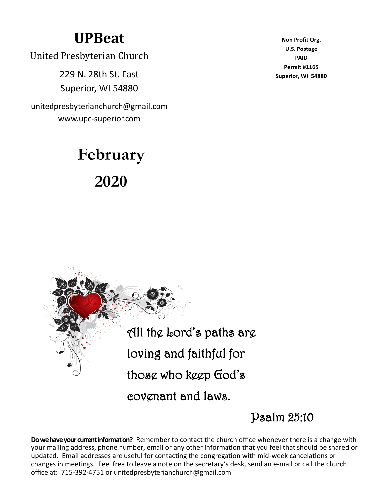## **UPBeat**

United Presbyterian Church

229 N. 28th St. East Superior, WI 54880

unitedpresbyterianchurch@gmail.com www.upc-superior.com

# **February 2020**

**Non Profit Org. U.S. Postage PAID Permit #1165 Superior, WI 54880**



Psalm 25:10

**Do we have your current information?** Remember to contact the church office whenever there is a change with your mailing address, phone number, email or any other information that you feel that should be shared or updated. Email addresses are useful for contacting the congregation with mid-week cancelations or changes in meetings. Feel free to leave a note on the secretary's desk, send an e-mail or call the church office at: 715-392-4751 or unitedpresbyterianchurch@gmail.com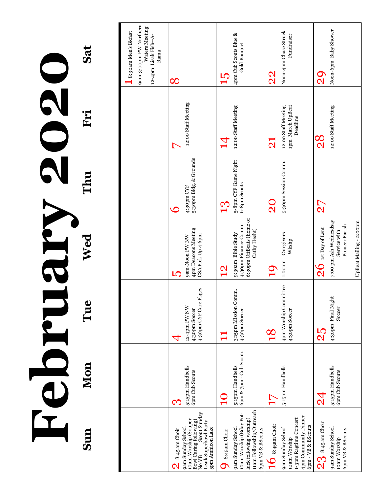Sat **Sun Mon Tue Wed Thu Fri Sat** February 2020 February 2020 Rue Kalent Roman Rue Reserve Rue Reserve Rue Reserve Rue Reserve Rue Reserve Rue Reserve Rue Reserve Rue Reserve Rue Reserve Rue Reserve Rue Reserve Rue Reserve Rue Reserve Rue Reserve Rue Reserve Rue Reserve Sun

|                                                                                                                                                                                    |                                                       |                                                        |                                                                                                             |                                                |                                                                  | 9am-3:00pm PW Northern<br>Waters Meeting<br>8:30am Men's Bkfast<br>12-4pm Lisak Fish--A-<br>Rama |
|------------------------------------------------------------------------------------------------------------------------------------------------------------------------------------|-------------------------------------------------------|--------------------------------------------------------|-------------------------------------------------------------------------------------------------------------|------------------------------------------------|------------------------------------------------------------------|--------------------------------------------------------------------------------------------------|
| íoam Worship (Souper<br>Bowl Caring following)<br>No VB Scout Sunday<br>Lisak Superbowl Party<br>5pm Amnicon Lake<br>9am Sunday School<br>8:45 am Choir<br>$\overline{\mathsf{N}}$ | 5:15pm Handbells<br>6pm Cub Scouts<br>CV.             | 4:30pm CYF Care Pkges<br>12-4pm PW NW<br>4;30pm Soccer | 4pm Deacons Meeting<br>CSA Pick Up 4-6pm<br>9am-Noon PW NW<br>ĽÇ                                            | 5:30pm Bldg. & Grounds<br>4:30pm CYF           | 12:00 Staff Meeting                                              | $\infty$                                                                                         |
| 11am Followship/Outreach<br>10am Worship (Bday Pot-<br>luck following worship)<br>9am Sunday School<br>6pm VB & BScouts<br>8:45am Choir                                            | 6pm & 7pm - Cub Scouts<br>5:15pm Handbells            | 3:15pm Mission Comm.<br>4:30pm Soccer                  | 6:30pm OffBeats (home of<br>4:30pm Finance Comm.<br>Cathy Hecht)<br>9:30am Bible Study<br>$\mathbf{\Omega}$ | 5-8pm CYF Game Night<br>6-8pm Scouts<br>$1\Im$ | 12:00 Staff Meeting<br>Z                                         | 4pm Cub Scouts Blue &<br>Gold Banquet<br>Ц,                                                      |
| 4pm Community Dinner<br>1-3pm Ragtime Concert<br>$10$ 8:45am Choir<br>6pm - VB & BScouts<br>9am Sunday School<br>10am Worship                                                      | 5:15pm Handbells<br>$\mathsf{L}$                      | 4pm Worship Committee<br>4:30pm Soccer                 | Caregivers<br>Wkshp<br>1:00pm<br>$\mathbf{Q}$                                                               | 5:30pm Session Comm.<br>$\rm \Omega$           | 1pm March UpBeat<br>12:00 Staff Meeting<br>Deadline<br>$\bf \Xi$ | Noon-4pm Chase Struck<br>Fundraiser<br>$\frac{2}{3}$                                             |
| $23\,$ 8:45 am Choir<br>9am Sunday School<br>6pm VB & BScouts<br>10am Worship                                                                                                      | 5:15pm Handbells<br><b>6pm Cub Scouts</b><br><u>थ</u> | 4:30pm Final Night<br>Soccer<br>25                     | 7:00 pm Ash Wednesdsay<br>UpBeat Mailing - 2:00pm<br>Pioneer Parish<br>$26$ ist Day of Lent<br>Service with | $\overline{2}$                                 | 12:00 Staff Meeting<br>8S                                        | Noon-6pm Baby Shower<br>$\Omega_{\text{N}}$                                                      |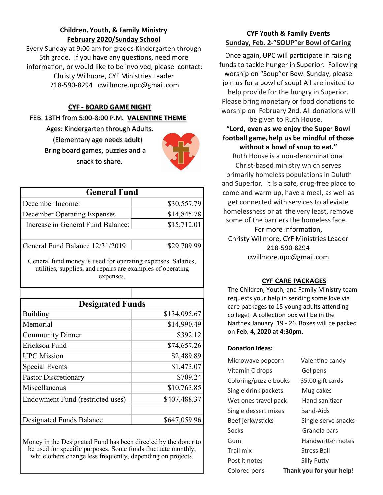#### **Children, Youth, & Family Ministry February 2020/Sunday School**

Every Sunday at 9:00 am for grades Kindergarten through 5th grade. If you have any questions, need more information, or would like to be involved, please contact: Christy Willmore, CYF Ministries Leader 218-590-8294 cwillmore.upc@gmail.com

#### **CYF - BOARD GAME NIGHT**

FEB. 13TH from 5:00-8:00 P.M. **VALENTINE THEME**

 Ages: Kindergarten through Adults. (Elementary age needs adult) Bring board games, puzzles and a snack to share.



| <b>General Fund</b>                            |             |
|------------------------------------------------|-------------|
| December Income:                               | \$30,557.79 |
| December Operating Expenses                    | \$14,845.78 |
| Increase in General Fund Balance:              | \$15,712.01 |
| \$29,709.99<br>General Fund Balance 12/31/2019 |             |
|                                                |             |

General fund money is used for operating expenses. Salaries, utilities, supplies, and repairs are examples of operating expenses.

| <b>Designated Funds</b>          |              |
|----------------------------------|--------------|
| Building                         | \$134,095.67 |
| Memorial                         | \$14,990.49  |
| <b>Community Dinner</b>          | \$392.12     |
| <b>Erickson Fund</b>             | \$74,657.26  |
| <b>UPC</b> Mission               | \$2,489.89   |
| <b>Special Events</b>            | \$1,473.07   |
| <b>Pastor Discretionary</b>      | \$709.24     |
| Miscellaneous                    | \$10,763.85  |
| Endowment Fund (restricted uses) | \$407,488.37 |
|                                  |              |
| <b>Designated Funds Balance</b>  | \$647,059.96 |
|                                  |              |

Money in the Designated Fund has been directed by the donor to be used for specific purposes. Some funds fluctuate monthly, while others change less frequently, depending on projects.

#### **CYF Youth & Family Events Sunday, Feb. 2-"SOUP"er Bowl of Caring**

Once again, UPC will participate in raising funds to tackle hunger in Superior. Following worship on "Soup"er Bowl Sunday, please join us for a bowl of soup! All are invited to help provide for the hungry in Superior. Please bring monetary or food donations to worship on February 2nd. All donations will be given to Ruth House.

#### **"Lord, even as we enjoy the Super Bowl football game,help us be mindful of those without a bowl of soup to eat."**

Ruth House is a non-denominational Christ-based ministry which serves primarily homeless populations in Duluth and Superior. It is a safe, drug-free place to come and warm up, have a meal, as well as get connected with services to alleviate homelessness or at the very least, remove some of the barriers the homeless face.

For more information, Christy Willmore, CYF Ministries Leader 218-590-8294 cwillmore.upc@gmail.com

#### **CYF CARE PACKAGES**

The Children, Youth, and Family Ministry team requests your help in sending some love via care packages to 15 young adults attending college! A collection box will be in the Narthex January 19 - 26. Boxes will be packed on **Feb. 4, 2020 at 4:30pm.** 

#### **Donation ideas:**

| Microwave popcorn     | Valentine candy          |
|-----------------------|--------------------------|
| Vitamin C drops       | Gel pens                 |
| Coloring/puzzle books | \$5.00 gift cards        |
| Single drink packets  | Mug cakes                |
| Wet ones travel pack  | Hand sanitizer           |
| Single dessert mixes  | Band-Aids                |
| Beef jerky/sticks     | Single serve snacks      |
| Socks                 | Granola bars             |
| Gum                   | Handwritten notes        |
| Trail mix             | <b>Stress Ball</b>       |
| Post it notes         | Silly Putty              |
| Colored pens          | Thank you for your help! |
|                       |                          |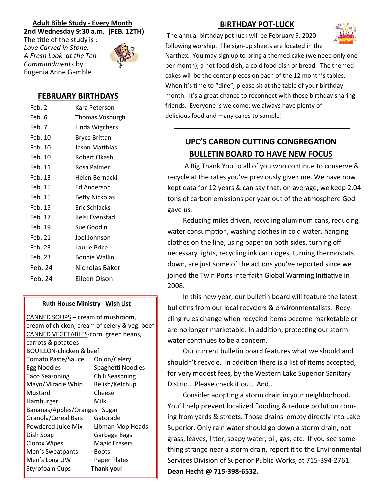#### **Adult Bible Study - Every Month 2nd Wednesday 9:30 a.m. (FEB. 12TH)**

The title of the study is : *Love Carved in Stone: A Fresh Look at the Ten Commandments* by : Eugenia Anne Gamble.



#### **FEBRUARY BIRTHDAYS**

| Feb. 2  | Kara Peterson         |
|---------|-----------------------|
| Feb. 6  | Thomas Vosburgh       |
| Feb. 7  | Linda Wigchers        |
| Feb. 10 | Bryce Brittan         |
| Feb. 10 | Jason Matthias        |
| Feb. 10 | Robert Okash          |
| Feb. 11 | Rosa Palmer           |
| Feb. 13 | Helen Bernacki        |
| Feb. 15 | Ed Anderson           |
| Feb. 15 | <b>Betty Nickolas</b> |
| Feb. 15 | Eric Schlacks         |
| Feb. 17 | Kelsi Evenstad        |
| Feb. 19 | Sue Goodin            |
| Feb. 21 | Joel Johnson          |
| Feb. 23 | Laurie Price          |
| Feb. 23 | <b>Bonnie Wallin</b>  |
| Feb. 24 | Nicholas Baker        |
| Feb. 24 | Eileen Olson          |
|         |                       |

#### **Ruth House Ministry Wish List**

CANNED SOUPS – cream of mushroom, cream of chicken, cream of celery & veg. beef CANNED VEGETABLES-corn, green beans, carrots & potatoes BOUILLON-chicken & beef Tomato Paste/Sauce Onion/Celery Egg Noodles Spaghetti Noodles Taco Seasoning Chili Seasoning Mayo/Miracle Whip Relish/Ketchup Mustard Cheese Hamburger Milk Bananas/Apples/Oranges Sugar Granola/Cereal Bars Gatorade Powdered Juice Mix Libman Mop Heads Dish Soap Garbage Bags Clorox Wipes Magic Erasers Men's Sweatpants Boots Men's Long UW Paper Plates Styrofoam Cups **Thank you!**

#### **BIRTHDAY POT-LUCK**

The annual birthday pot-luck will be February 9, 2020 following worship. The sign-up sheets are located in the



Narthex. You may sign up to bring a themed cake (we need only one per month), a hot food dish, a cold food dish or bread. The themed cakes will be the center pieces on each of the 12 month's tables. When it's time to "dine", please sit at the table of your birthday month. It's a great chance to reconnect with those birthday sharing friends. Everyone is welcome; we always have plenty of delicious food and many cakes to sample!

### **UPC'S CARBON CUTTING CONGREGATION BULLETIN BOARD TO HAVE NEW FOCUS**

A Big Thank You to all of you who continue to conserve & recycle at the rates you've previously given me. We have now kept data for 12 years & can say that, on average, we keep 2.04 tons of carbon emissions per year out of the atmosphere God gave us.

 Reducing miles driven, recycling aluminum cans, reducing water consumption, washing clothes in cold water, hanging clothes on the line, using paper on both sides, turning off necessary lights, recycling ink cartridges, turning thermostats down, are just some of the actions you've reported since we joined the Twin Ports Interfaith Global Warming Initiative in 2008.

 In this new year, our bulletin board will feature the latest bulletins from our local recyclers & environmentalists. Recycling rules change when recycled items become marketable or are no longer marketable. In addition, protecting our stormwater continues to be a concern.

 Our current bulletin board features what we should and shouldn't recycle. In addition there is a list of items accepted, for very modest fees, by the Western Lake Superior Sanitary District. Please check it out. And….

 Consider adopting a storm drain in your neighborhood. You'll help prevent localized flooding & reduce pollution coming from yards & streets. Those drains empty directly into Lake Superior. Only rain water should go down a storm drain, not grass, leaves, litter, soapy water, oil, gas, etc. If you see something strange near a storm drain, report it to the Environmental Services Division of Superior Public Works, at 715-394-2761. **Dean Hecht @ 715-398-6532.**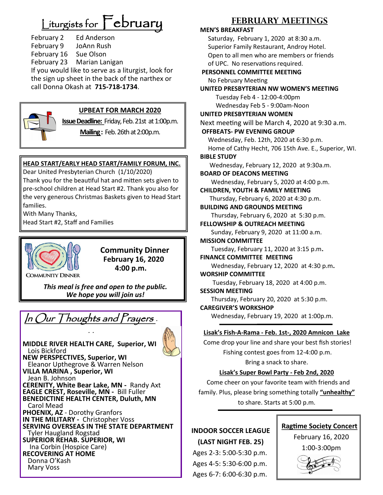# $L$ iturgists for  $\mathsf{\Gamma}$ ebruary

February 2 Ed Anderson February 9 JoAnn Rush February 16 Sue Olson February 23 Marian Lanigan If you would like to serve as a liturgist, look for the sign up sheet in the back of the narthex or call Donna Okash at **715-718-1734**.



#### **UPBEAT FOR MARCH 2020**

**Issue Deadline:** Friday, Feb. 21st at 1:00p.m.

**Mailing :** Feb. 26th at 2:00p.m.

#### **HEAD START/EARLY HEAD START/FAMILY FORUM, INC.**

Dear United Presbyterian Church (1/10/2020) Thank you for the beautiful hat and mitten sets given to pre-school children at Head Start #2. Thank you also for the very generous Christmas Baskets given to Head Start families.

With Many Thanks,

Head Start #2, Staff and Families



 **Community Dinner February 16, 2020 4:00 p.m.**

*This meal is free and open to the public. We hope you will join us!*

**In Our Thoughts and Prayers .**  $\blacksquare$  Wednesday, February 19, 2020 at 1:00p.m.

 $\ldots$ 

**MIDDLE RIVER HEALTH CARE, Superior, WI** Lois Bickford **NEW PERSPECTIVES, Superior, WI** Eleanor Upthegrove & Warren Nelson **VILLA MARINA , Superior, WI** Jean B. Johnson **CERENITY, White Bear Lake, MN -** Randy Axt **EAGLE CREST, Roseville, MN -** Bill Fuller **BENEDICTINE HEALTH CENTER, Duluth, MN** Carol Mead **PHOENIX, AZ** - Dorothy Granfors **IN THE MILITARY -** Christopher Voss **SERVING OVERSEAS IN THE STATE DEPARTMENT** Tyler Haugland Rogstad **SUPERIOR REHAB. SUPERIOR, WI** Ina Corbin (Hospice Care) **RECOVERING AT HOME** Donna O'Kash Mary Voss

#### **FEBRUARY MEETINGS**

#### **MEN'S BREAKFAST**

Saturday, February 1, 2020 at 8:30 a.m. Superior Family Restaurant, Androy Hotel. Open to all men who are members or friends of UPC. No reservations required.

#### **PERSONNEL COMMITTEE MEETING** No February Meeting

**UNITED PRESBYTERIAN NW WOMEN'S MEETING** Tuesday Feb 4 - 12:00-4:00pm Wednesday Feb 5 - 9:00am-Noon **UNITED PRESBYTERIAN WOMEN**

Next meeting will be March 4, 2020 at 9:30 a.m.

#### **OFFBEATS- PW EVENING GROUP**

Wednesday, Feb. 12th, 2020 at 6:30 p.m.

 Home of Cathy Hecht, 706 15th Ave. E., Superior, WI. **BIBLE STUDY**

Wednesday, February 12, 2020 at 9:30a.m.

#### **BOARD OF DEACONS MEETING**

Wednesday, February 5, 2020 at 4:00 p.m.

#### **CHILDREN, YOUTH & FAMILY MEETING**

Thursday, February 6, 2020 at 4:30 p.m. **BUILDING AND GROUNDS MEETING**

Thursday, February 6, 2020 at 5:30 p.m.

#### **FELLOWSHIP & OUTREACH MEETING**

Sunday, February 9, 2020 at 11:00 a.m.

#### **MISSION COMMITTEE**

Tuesday, February 11, 2020 at 3:15 p.m**.**

#### **FINANCE COMMITTEE MEETING** Wednesday, February 12, 2020 at 4:30 p.m**. WORSHIP COMMITTEE** Tuesday, February 18, 2020 at 4:00 p.m. **SESSION MEETING**

Thursday, February 20, 2020 at 5:30 p.m.

**CAREGIVER'S WORKSHOP**

#### **Lisak's Fish-A-Rama - Feb. 1st-, 2020 Amnicon Lake**

Come drop your line and share your best fish stories! Fishing contest goes from 12-4:00 p.m. Bring a snack to share.

#### **Lisak's Super Bowl Party - Feb 2nd, 2020**

Come cheer on your favorite team with friends and family. Plus, please bring something totally **"unhealthy"**  to share. Starts at 5:00 p.m.

#### **INDOOR SOCCER LEAGUE (LAST NIGHT FEB. 25)**

Ages 2-3: 5:00-5:30 p.m. Ages 4-5: 5:30-6:00 p.m. Ages 6-7: 6:00-6:30 p.m.